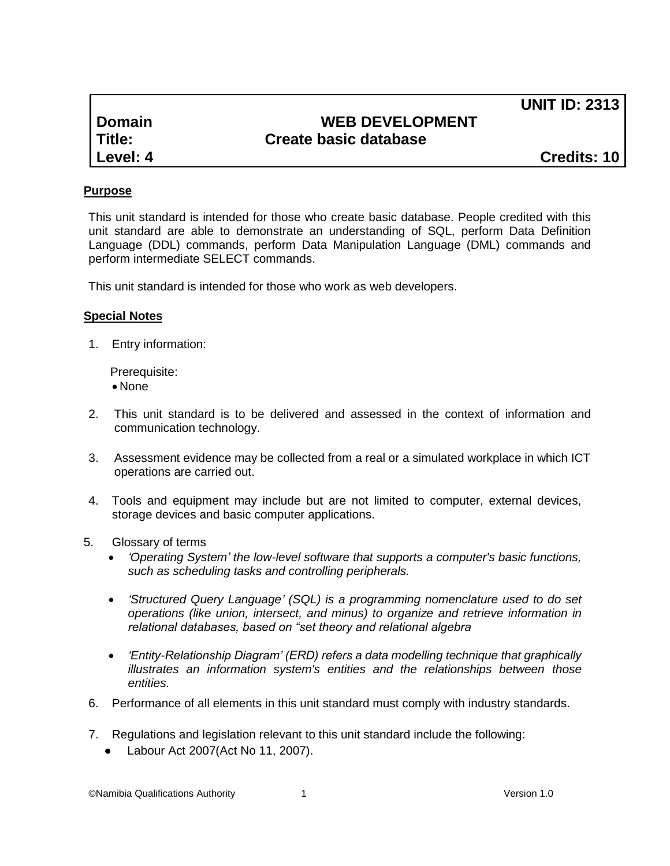**UNIT ID: 2313**

| Domain   |
|----------|
| Title:   |
| Level: 4 |

# **WEB DEVELOPMENT Create basic database**

**Level: 4 Credits: 10**

## **Purpose**

This unit standard is intended for those who create basic database. People credited with this unit standard are able to demonstrate an understanding of SQL, perform Data Definition Language (DDL) commands, perform Data Manipulation Language (DML) commands and perform intermediate SELECT commands.

This unit standard is intended for those who work as web developers.

### **Special Notes**

1. Entry information:

Prerequisite:

- None
- 2. This unit standard is to be delivered and assessed in the context of information and communication technology.
- 3. Assessment evidence may be collected from a real or a simulated workplace in which ICT operations are carried out.
- 4. Tools and equipment may include but are not limited to computer, external devices, storage devices and basic computer applications.
- 5. Glossary of terms
	- *'Operating System' the low-level software that supports a computer's basic functions, such as scheduling tasks and controlling peripherals.*
	- *'Structured Query Language' (SQL) is a programming nomenclature used to do set operations (like union, intersect, and minus) to organize and retrieve information in relational databases, based on "set theory and relational algebra*
	- *'Entity-Relationship Diagram' (ERD) refers a data modelling technique that graphically illustrates an information system's entities and the relationships between those entities.*
- 6. Performance of all elements in this unit standard must comply with industry standards.
- 7. Regulations and legislation relevant to this unit standard include the following:
	- Labour Act 2007(Act No 11, 2007).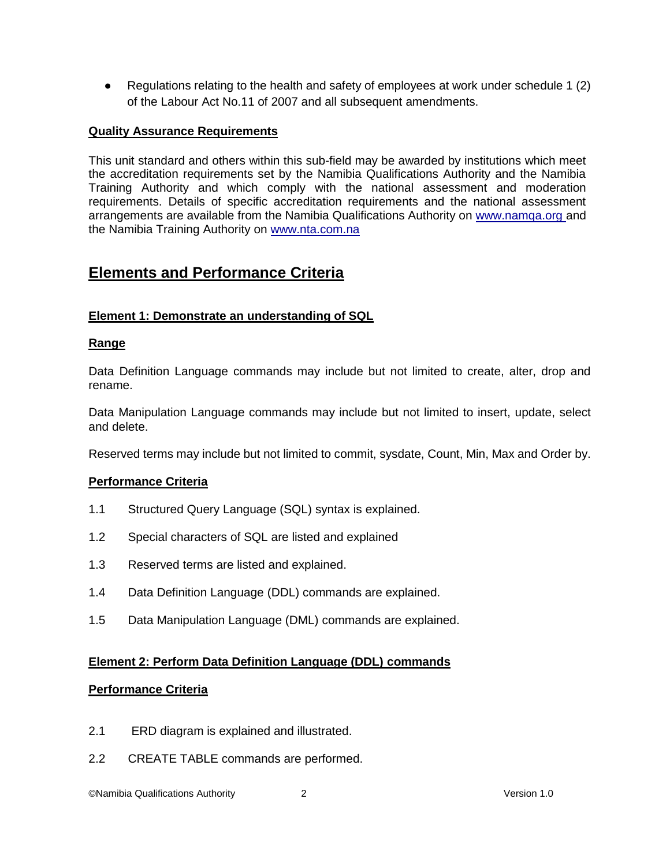Regulations relating to the health and safety of employees at work under schedule 1 (2) of the Labour Act No.11 of 2007 and all subsequent amendments.

#### **Quality Assurance Requirements**

This unit standard and others within this sub-field may be awarded by institutions which meet the accreditation requirements set by the Namibia Qualifications Authority and the Namibia Training Authority and which comply with the national assessment and moderation requirements. Details of specific accreditation requirements and the national assessment arrangements are available from the Namibia Qualifications Authority on [www.namqa.org a](http://www.namqa.org/)nd the Namibia Training Authority on [www.nta.com.na](http://www.nta.com.na/)

# **Elements and Performance Criteria**

### **Element 1: Demonstrate an understanding of SQL**

#### **Range**

Data Definition Language commands may include but not limited to create, alter, drop and rename.

Data Manipulation Language commands may include but not limited to insert, update, select and delete.

Reserved terms may include but not limited to commit, sysdate, Count, Min, Max and Order by.

### **Performance Criteria**

- 1.1 Structured Query Language (SQL) syntax is explained.
- 1.2 Special characters of SQL are listed and explained
- 1.3 Reserved terms are listed and explained.
- 1.4 Data Definition Language (DDL) commands are explained.
- 1.5 Data Manipulation Language (DML) commands are explained.

### **Element 2: Perform Data Definition Language (DDL) commands**

#### **Performance Criteria**

- 2.1 ERD diagram is explained and illustrated.
- 2.2 CREATE TABLE commands are performed.